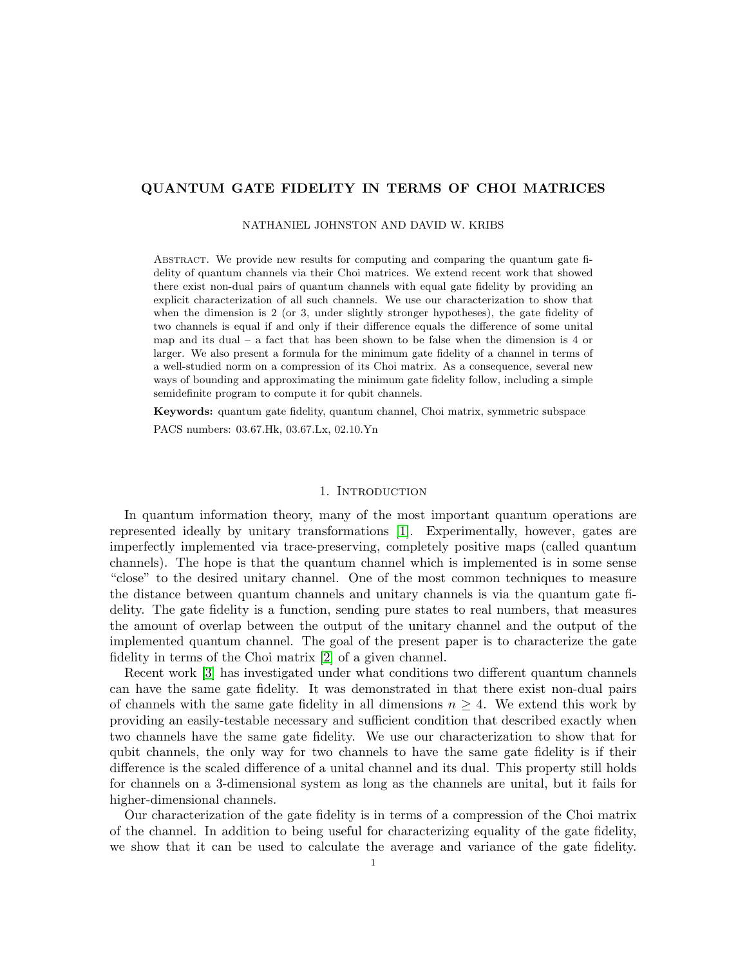# QUANTUM GATE FIDELITY IN TERMS OF CHOI MATRICES

#### NATHANIEL JOHNSTON AND DAVID W. KRIBS

Abstract. We provide new results for computing and comparing the quantum gate fidelity of quantum channels via their Choi matrices. We extend recent work that showed there exist non-dual pairs of quantum channels with equal gate fidelity by providing an explicit characterization of all such channels. We use our characterization to show that when the dimension is 2 (or 3, under slightly stronger hypotheses), the gate fidelity of two channels is equal if and only if their difference equals the difference of some unital map and its dual – a fact that has been shown to be false when the dimension is 4 or larger. We also present a formula for the minimum gate fidelity of a channel in terms of a well-studied norm on a compression of its Choi matrix. As a consequence, several new ways of bounding and approximating the minimum gate fidelity follow, including a simple semidefinite program to compute it for qubit channels.

Keywords: quantum gate fidelity, quantum channel, Choi matrix, symmetric subspace PACS numbers: 03.67.Hk, 03.67.Lx, 02.10.Yn

### 1. INTRODUCTION

In quantum information theory, many of the most important quantum operations are represented ideally by unitary transformations [\[1\]](#page-14-0). Experimentally, however, gates are imperfectly implemented via trace-preserving, completely positive maps (called quantum channels). The hope is that the quantum channel which is implemented is in some sense "close" to the desired unitary channel. One of the most common techniques to measure the distance between quantum channels and unitary channels is via the quantum gate fidelity. The gate fidelity is a function, sending pure states to real numbers, that measures the amount of overlap between the output of the unitary channel and the output of the implemented quantum channel. The goal of the present paper is to characterize the gate fidelity in terms of the Choi matrix [\[2\]](#page-14-1) of a given channel.

Recent work [\[3\]](#page-14-2) has investigated under what conditions two different quantum channels can have the same gate fidelity. It was demonstrated in that there exist non-dual pairs of channels with the same gate fidelity in all dimensions  $n \geq 4$ . We extend this work by providing an easily-testable necessary and sufficient condition that described exactly when two channels have the same gate fidelity. We use our characterization to show that for qubit channels, the only way for two channels to have the same gate fidelity is if their difference is the scaled difference of a unital channel and its dual. This property still holds for channels on a 3-dimensional system as long as the channels are unital, but it fails for higher-dimensional channels.

Our characterization of the gate fidelity is in terms of a compression of the Choi matrix of the channel. In addition to being useful for characterizing equality of the gate fidelity, we show that it can be used to calculate the average and variance of the gate fidelity.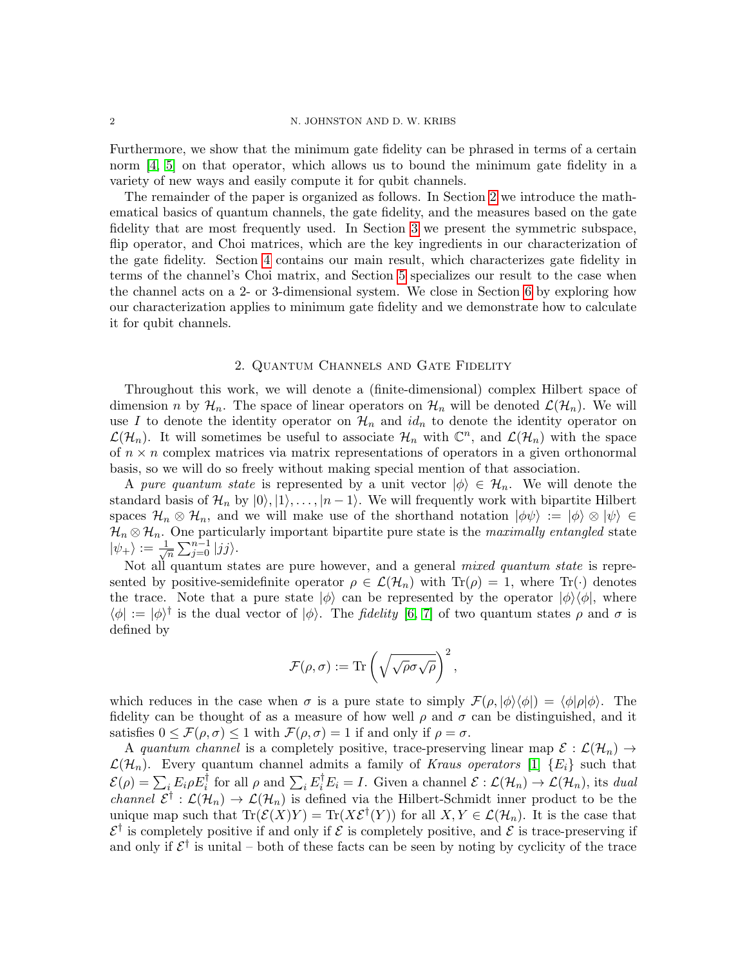#### 2 N. JOHNSTON AND D. W. KRIBS

Furthermore, we show that the minimum gate fidelity can be phrased in terms of a certain norm [\[4,](#page-14-3) [5\]](#page-14-4) on that operator, which allows us to bound the minimum gate fidelity in a variety of new ways and easily compute it for qubit channels.

The remainder of the paper is organized as follows. In Section [2](#page-1-0) we introduce the mathematical basics of quantum channels, the gate fidelity, and the measures based on the gate fidelity that are most frequently used. In Section [3](#page-3-0) we present the symmetric subspace, flip operator, and Choi matrices, which are the key ingredients in our characterization of the gate fidelity. Section [4](#page-4-0) contains our main result, which characterizes gate fidelity in terms of the channel's Choi matrix, and Section [5](#page-6-0) specializes our result to the case when the channel acts on a 2- or 3-dimensional system. We close in Section [6](#page-10-0) by exploring how our characterization applies to minimum gate fidelity and we demonstrate how to calculate it for qubit channels.

# 2. Quantum Channels and Gate Fidelity

<span id="page-1-0"></span>Throughout this work, we will denote a (finite-dimensional) complex Hilbert space of dimension n by  $\mathcal{H}_n$ . The space of linear operators on  $\mathcal{H}_n$  will be denoted  $\mathcal{L}(\mathcal{H}_n)$ . We will use I to denote the identity operator on  $\mathcal{H}_n$  and  $id_n$  to denote the identity operator on  $\mathcal{L}(\mathcal{H}_n)$ . It will sometimes be useful to associate  $\mathcal{H}_n$  with  $\mathbb{C}^n$ , and  $\mathcal{L}(\mathcal{H}_n)$  with the space of  $n \times n$  complex matrices via matrix representations of operators in a given orthonormal basis, so we will do so freely without making special mention of that association.

A pure quantum state is represented by a unit vector  $|\phi\rangle \in \mathcal{H}_n$ . We will denote the standard basis of  $\mathcal{H}_n$  by  $|0\rangle, |1\rangle, \ldots, |n-1\rangle$ . We will frequently work with bipartite Hilbert spaces  $\mathcal{H}_n \otimes \mathcal{H}_n$ , and we will make use of the shorthand notation  $|\phi\psi\rangle := |\phi\rangle \otimes |\psi\rangle \in$  $\mathcal{H}_n \otimes \mathcal{H}_n$ . One particularly important bipartite pure state is the *maximally entangled* state  $|\psi_{+}\rangle := \frac{1}{\sqrt{2}}$  $\sum_{j=0}^{n-1} |jj\rangle$ .

Not all quantum states are pure however, and a general mixed quantum state is represented by positive-semidefinite operator  $\rho \in \mathcal{L}(\mathcal{H}_n)$  with  $\text{Tr}(\rho) = 1$ , where  $\text{Tr}(\cdot)$  denotes the trace. Note that a pure state  $|\phi\rangle$  can be represented by the operator  $|\phi\rangle\langle\phi|$ , where  $\langle \phi | := | \phi \rangle^{\dagger}$  is the dual vector of  $| \phi \rangle$ . The *fidelity* [\[6,](#page-14-5) [7\]](#page-14-6) of two quantum states  $\rho$  and  $\sigma$  is defined by

$$
\mathcal{F}(\rho,\sigma):=\mathrm{Tr}\left(\sqrt{\sqrt{\rho}\sigma\sqrt{\rho}}\right)^2,
$$

which reduces in the case when  $\sigma$  is a pure state to simply  $\mathcal{F}(\rho, |\phi\rangle\langle\phi|) = \langle\phi|\rho|\phi\rangle$ . The fidelity can be thought of as a measure of how well  $\rho$  and  $\sigma$  can be distinguished, and it satisfies  $0 \leq \mathcal{F}(\rho, \sigma) \leq 1$  with  $\mathcal{F}(\rho, \sigma) = 1$  if and only if  $\rho = \sigma$ .

A quantum channel is a completely positive, trace-preserving linear map  $\mathcal{E} : \mathcal{L}(\mathcal{H}_n) \to$  $\mathcal{L}(\mathcal{H}_n)$ . Every quantum channel admits a family of Kraus operators [\[1\]](#page-14-0)  $\{E_i\}$  such that  $\mathcal{E}(\rho) = \sum_i E_i \rho E_i^{\dagger}$  for all  $\rho$  and  $\sum_i E_i^{\dagger} E_i = I$ . Given a channel  $\mathcal{E} : \mathcal{L}(\mathcal{H}_n) \to \mathcal{L}(\mathcal{H}_n)$ , its dual *channel*  $\mathcal{E}^{\dagger} : \mathcal{L}(\mathcal{H}_n) \to \mathcal{L}(\mathcal{H}_n)$  is defined via the Hilbert-Schmidt inner product to be the unique map such that  $\text{Tr}(\mathcal{E}(X)Y) = \text{Tr}(X\mathcal{E}^{\dagger}(Y))$  for all  $X, Y \in \mathcal{L}(\mathcal{H}_n)$ . It is the case that  $\mathcal{E}^{\dagger}$  is completely positive if and only if  $\mathcal E$  is completely positive, and  $\mathcal E$  is trace-preserving if and only if  $\mathcal{E}^{\dagger}$  is unital – both of these facts can be seen by noting by cyclicity of the trace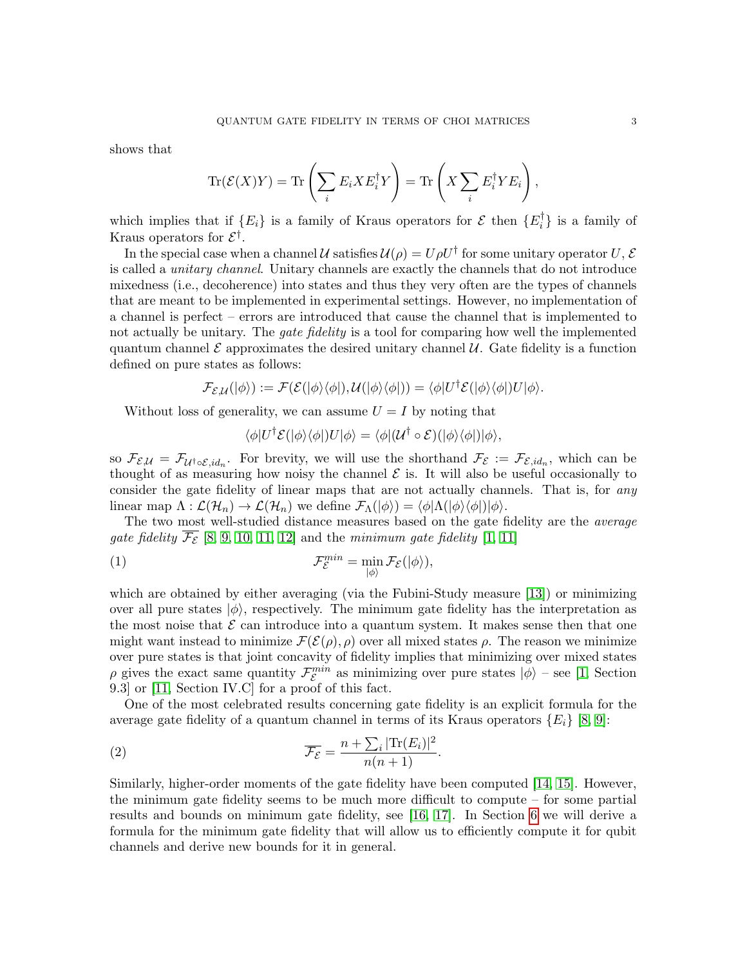shows that

$$
\text{Tr}(\mathcal{E}(X)Y) = \text{Tr}\left(\sum_{i} E_{i} X E_{i}^{\dagger} Y\right) = \text{Tr}\left(X \sum_{i} E_{i}^{\dagger} Y E_{i}\right),
$$

which implies that if  ${E_i}$  is a family of Kraus operators for  $\mathcal E$  then  ${E_i^{\dagger}}$  $\{ \}$  is a family of Kraus operators for  $\mathcal{E}^{\dagger}$ .

In the special case when a channel U satisfies  $\mathcal{U}(\rho) = U \rho U^{\dagger}$  for some unitary operator U, E is called a unitary channel. Unitary channels are exactly the channels that do not introduce mixedness (i.e., decoherence) into states and thus they very often are the types of channels that are meant to be implemented in experimental settings. However, no implementation of a channel is perfect – errors are introduced that cause the channel that is implemented to not actually be unitary. The *gate fidelity* is a tool for comparing how well the implemented quantum channel  $\mathcal E$  approximates the desired unitary channel  $\mathcal U$ . Gate fidelity is a function defined on pure states as follows:

$$
\mathcal{F}_{\mathcal{E},\mathcal{U}}(|\phi\rangle):=\mathcal{F}(\mathcal{E}(|\phi\rangle\langle\phi|),\mathcal{U}(|\phi\rangle\langle\phi|))=\langle\phi|U^{\dagger}\mathcal{E}(|\phi\rangle\langle\phi|)U|\phi\rangle.
$$

Without loss of generality, we can assume  $U = I$  by noting that

$$
\langle \phi | U^{\dagger} \mathcal{E} (|\phi\rangle \langle \phi|) U |\phi\rangle = \langle \phi | (U^{\dagger} \circ \mathcal{E}) (|\phi\rangle \langle \phi|) |\phi\rangle,
$$

so  $\mathcal{F}_{\mathcal{E},\mathcal{U}} = \mathcal{F}_{\mathcal{U}^{\dagger} \circ \mathcal{E}, id_n}$ . For brevity, we will use the shorthand  $\mathcal{F}_{\mathcal{E}} := \mathcal{F}_{\mathcal{E}, id_n}$ , which can be thought of as measuring how noisy the channel  $\mathcal E$  is. It will also be useful occasionally to consider the gate fidelity of linear maps that are not actually channels. That is, for *any* linear map  $\Lambda : \mathcal{L}(\mathcal{H}_n) \to \mathcal{L}(\mathcal{H}_n)$  we define  $\mathcal{F}_{\Lambda}(|\phi\rangle) = \langle \phi | \Lambda(|\phi\rangle \langle \phi|) | \phi \rangle$ .

The two most well-studied distance measures based on the gate fidelity are the *average* gate fidelity  $\overline{\mathcal{F}_{\mathcal{E}}}$  [\[8,](#page-14-7) [9,](#page-14-8) [10,](#page-14-9) [11,](#page-14-10) [12\]](#page-14-11) and the minimum gate fidelity [\[1,](#page-14-0) [11\]](#page-14-10)

(1) 
$$
\mathcal{F}_{\mathcal{E}}^{\min} = \min_{|\phi\rangle} \mathcal{F}_{\mathcal{E}}(|\phi\rangle),
$$

which are obtained by either averaging (via the Fubini-Study measure [\[13\]](#page-14-12)) or minimizing over all pure states  $|\phi\rangle$ , respectively. The minimum gate fidelity has the interpretation as the most noise that  $\mathcal E$  can introduce into a quantum system. It makes sense then that one might want instead to minimize  $\mathcal{F}(\mathcal{E}(\rho), \rho)$  over all mixed states  $\rho$ . The reason we minimize over pure states is that joint concavity of fidelity implies that minimizing over mixed states  $\rho$  gives the exact same quantity  $\mathcal{F}_{\mathcal{E}}^{min}$  as minimizing over pure states  $|\phi\rangle$  – see [\[1,](#page-14-0) Section 9.3] or [\[11,](#page-14-10) Section IV.C] for a proof of this fact.

One of the most celebrated results concerning gate fidelity is an explicit formula for the average gate fidelity of a quantum channel in terms of its Kraus operators  $\{E_i\}$  [\[8,](#page-14-7) [9\]](#page-14-8):

<span id="page-2-0"></span>(2) 
$$
\overline{\mathcal{F}_{\mathcal{E}}} = \frac{n + \sum_i |\text{Tr}(E_i)|^2}{n(n+1)}.
$$

Similarly, higher-order moments of the gate fidelity have been computed [\[14,](#page-14-13) [15\]](#page-14-14). However, the minimum gate fidelity seems to be much more difficult to compute – for some partial results and bounds on minimum gate fidelity, see [\[16,](#page-14-15) [17\]](#page-14-16). In Section [6](#page-10-0) we will derive a formula for the minimum gate fidelity that will allow us to efficiently compute it for qubit channels and derive new bounds for it in general.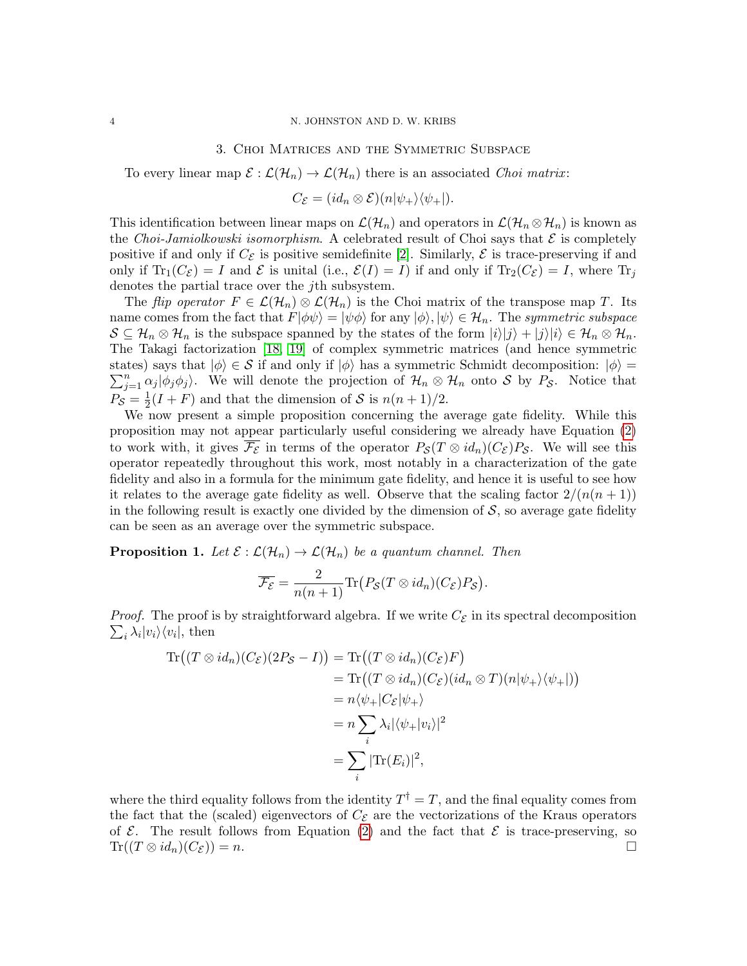# 3. Choi Matrices and the Symmetric Subspace

<span id="page-3-0"></span>To every linear map  $\mathcal{E} : \mathcal{L}(\mathcal{H}_n) \to \mathcal{L}(\mathcal{H}_n)$  there is an associated *Choi matrix*:

$$
C_{\mathcal{E}} = (id_n \otimes \mathcal{E})(n|\psi_+\rangle\langle\psi_+|).
$$

This identification between linear maps on  $\mathcal{L}(\mathcal{H}_n)$  and operators in  $\mathcal{L}(\mathcal{H}_n \otimes \mathcal{H}_n)$  is known as the Choi-Jamiolkowski isomorphism. A celebrated result of Choi says that  $\mathcal E$  is completely positive if and only if  $C_{\mathcal{E}}$  is positive semidefinite [\[2\]](#page-14-1). Similarly,  $\mathcal{E}$  is trace-preserving if and only if  $\text{Tr}_1(C_{\mathcal{E}}) = I$  and  $\mathcal E$  is unital (i.e.,  $\mathcal E(I) = I$ ) if and only if  $\text{Tr}_2(C_{\mathcal{E}}) = I$ , where  $\text{Tr}_j$ denotes the partial trace over the jth subsystem.

The flip operator  $F \in \mathcal{L}(\mathcal{H}_n) \otimes \mathcal{L}(\mathcal{H}_n)$  is the Choi matrix of the transpose map T. Its name comes from the fact that  $F|\phi\psi\rangle = |\psi\phi\rangle$  for any  $|\phi\rangle, |\psi\rangle \in \mathcal{H}_n$ . The symmetric subspace  $S \subseteq \mathcal{H}_n \otimes \mathcal{H}_n$  is the subspace spanned by the states of the form  $|i\rangle|j\rangle + |j\rangle|i\rangle \in \mathcal{H}_n \otimes \mathcal{H}_n$ . The Takagi factorization [\[18,](#page-14-17) [19\]](#page-14-18) of complex symmetric matrices (and hence symmetric  $\sum_{j=1}^n \alpha_j |\phi_j \phi_j\rangle$ . We will denote the projection of  $\mathcal{H}_n \otimes \mathcal{H}_n$  onto S by  $P_{\mathcal{S}}$ . Notice that states) says that  $|\phi\rangle \in S$  if and only if  $|\phi\rangle$  has a symmetric Schmidt decomposition:  $|\phi\rangle =$  $P_{\mathcal{S}}=\frac{1}{2}$  $\frac{1}{2}(I+F)$  and that the dimension of S is  $n(n+1)/2$ .

We now present a simple proposition concerning the average gate fidelity. While this proposition may not appear particularly useful considering we already have Equation [\(2\)](#page-2-0) to work with, it gives  $\mathcal{F}_{\mathcal{E}}$  in terms of the operator  $P_{\mathcal{S}}(T \otimes id_n)(C_{\mathcal{E}})P_{\mathcal{S}}$ . We will see this operator repeatedly throughout this work, most notably in a characterization of the gate fidelity and also in a formula for the minimum gate fidelity, and hence it is useful to see how it relates to the average gate fidelity as well. Observe that the scaling factor  $2/(n(n+1))$ in the following result is exactly one divided by the dimension of  $S$ , so average gate fidelity can be seen as an average over the symmetric subspace.

<span id="page-3-1"></span>**Proposition 1.** Let  $\mathcal{E} : \mathcal{L}(\mathcal{H}_n) \to \mathcal{L}(\mathcal{H}_n)$  be a quantum channel. Then

$$
\overline{\mathcal{F}_{\mathcal{E}}} = \frac{2}{n(n+1)} \text{Tr} \big( P_{\mathcal{S}}(T \otimes id_n)(C_{\mathcal{E}}) P_{\mathcal{S}} \big).
$$

*Proof.* The proof is by straightforward algebra. If we write  $C_{\mathcal{E}}$  in its spectral decomposition  $\sum_i \lambda_i |v_i\rangle\langle v_i|$ , then

$$
\begin{aligned} \text{Tr}\big((T\otimes id_n)(C_{\mathcal{E}})(2P_{\mathcal{S}} - I)\big) &= \text{Tr}\big((T\otimes id_n)(C_{\mathcal{E}})F\big) \\ &= \text{Tr}\big((T\otimes id_n)(C_{\mathcal{E}})(id_n\otimes T)(n|\psi_+\rangle\langle\psi_+|)\big) \\ &= n\langle\psi_+|C_{\mathcal{E}}|\psi_+\rangle \\ &= n\sum_i \lambda_i|\langle\psi_+|v_i\rangle|^2 \\ &= \sum_i |\text{Tr}(E_i)|^2, \end{aligned}
$$

where the third equality follows from the identity  $T^{\dagger} = T$ , and the final equality comes from the fact that the (scaled) eigenvectors of  $C_{\mathcal{E}}$  are the vectorizations of the Kraus operators of  $\mathcal E$ . The result follows from Equation [\(2\)](#page-2-0) and the fact that  $\mathcal E$  is trace-preserving, so  $\text{Tr}((T \otimes id_n)(C_{\mathcal{E}})) = n.$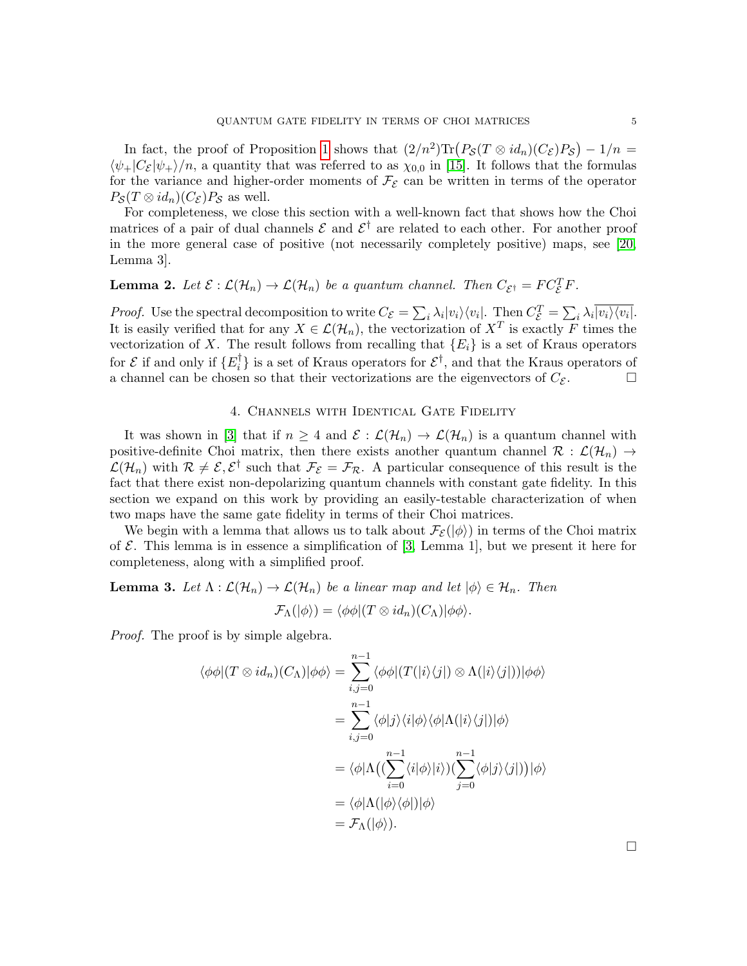In fact, the proof of Proposition [1](#page-3-1) shows that  $(2/n^2) \text{Tr} (P_{\mathcal{S}}(T \otimes id_n)(C_{\mathcal{E}})P_{\mathcal{S}}) - 1/n =$  $\langle \psi_+|C_{\mathcal{E}}|\psi_+\rangle/n$ , a quantity that was referred to as  $\chi_{0,0}$  in [\[15\]](#page-14-14). It follows that the formulas for the variance and higher-order moments of  $\mathcal{F}_{\mathcal{E}}$  can be written in terms of the operator  $P_{\mathcal{S}}(T \otimes id_n)(C_{\mathcal{E}})P_{\mathcal{S}}$  as well.

For completeness, we close this section with a well-known fact that shows how the Choi matrices of a pair of dual channels  $\mathcal E$  and  $\mathcal E^{\dagger}$  are related to each other. For another proof in the more general case of positive (not necessarily completely positive) maps, see [\[20,](#page-14-19) Lemma 3].

# <span id="page-4-2"></span>**Lemma 2.** Let  $\mathcal{E}: \mathcal{L}(\mathcal{H}_n) \to \mathcal{L}(\mathcal{H}_n)$  be a quantum channel. Then  $C_{\mathcal{E}^{\dagger}} = FC_{\mathcal{E}}^T F$ .

*Proof.* Use the spectral decomposition to write  $C_{\mathcal{E}} = \sum_i \lambda_i |v_i\rangle\langle v_i|$ . Then  $C_{\mathcal{E}}^T = \sum_i \lambda_i \overline{|v_i\rangle\langle v_i|}$ . It is easily verified that for any  $X \in \mathcal{L}(\mathcal{H}_n)$ , the vectorization of  $X^T$  is exactly F times the vectorization of X. The result follows from recalling that  ${E<sub>i</sub>}$  is a set of Kraus operators for  $\mathcal E$  if and only if  $\{E_i^{\dagger}$  $\mathcal{E}_i^{\dagger}$  is a set of Kraus operators for  $\mathcal{E}^{\dagger}$ , and that the Kraus operators of a channel can be chosen so that their vectorizations are the eigenvectors of  $C_{\mathcal{E}}$ .

# 4. Channels with Identical Gate Fidelity

<span id="page-4-0"></span>It was shown in [\[3\]](#page-14-2) that if  $n \geq 4$  and  $\mathcal{E}: \mathcal{L}(\mathcal{H}_n) \to \mathcal{L}(\mathcal{H}_n)$  is a quantum channel with positive-definite Choi matrix, then there exists another quantum channel  $\mathcal{R} : \mathcal{L}(\mathcal{H}_n) \to$  $\mathcal{L}(\mathcal{H}_n)$  with  $\mathcal{R} \neq \mathcal{E}, \mathcal{E}^{\dagger}$  such that  $\mathcal{F}_{\mathcal{E}} = \mathcal{F}_{\mathcal{R}}$ . A particular consequence of this result is the fact that there exist non-depolarizing quantum channels with constant gate fidelity. In this section we expand on this work by providing an easily-testable characterization of when two maps have the same gate fidelity in terms of their Choi matrices.

We begin with a lemma that allows us to talk about  $\mathcal{F}_{\mathcal{E}}(|\phi\rangle)$  in terms of the Choi matrix of  $\mathcal E$ . This lemma is in essence a simplification of [\[3,](#page-14-2) Lemma 1], but we present it here for completeness, along with a simplified proof.

<span id="page-4-1"></span>**Lemma 3.** Let  $\Lambda : \mathcal{L}(\mathcal{H}_n) \to \mathcal{L}(\mathcal{H}_n)$  be a linear map and let  $|\phi\rangle \in \mathcal{H}_n$ . Then

$$
\mathcal{F}_{\Lambda}(|\phi\rangle) = \langle \phi \phi | (T \otimes id_n)(C_{\Lambda}) | \phi \phi \rangle.
$$

Proof. The proof is by simple algebra.

$$
\langle \phi \phi | (T \otimes id_n)(C_{\Lambda}) | \phi \phi \rangle = \sum_{i,j=0}^{n-1} \langle \phi \phi | (T(|i\rangle\langle j|) \otimes \Lambda(|i\rangle\langle j|)) | \phi \phi \rangle
$$
  

$$
= \sum_{i,j=0}^{n-1} \langle \phi | j \rangle \langle i | \phi \rangle \langle \phi | \Lambda(|i\rangle\langle j|) | \phi \rangle
$$
  

$$
= \langle \phi | \Lambda \big( (\sum_{i=0}^{n-1} \langle i | \phi \rangle | i \rangle) (\sum_{j=0}^{n-1} \langle \phi | j \rangle \langle j|) \big) | \phi \rangle
$$
  

$$
= \langle \phi | \Lambda(|\phi\rangle\langle\phi|) | \phi \rangle
$$
  

$$
= \mathcal{F}_{\Lambda}(|\phi\rangle).
$$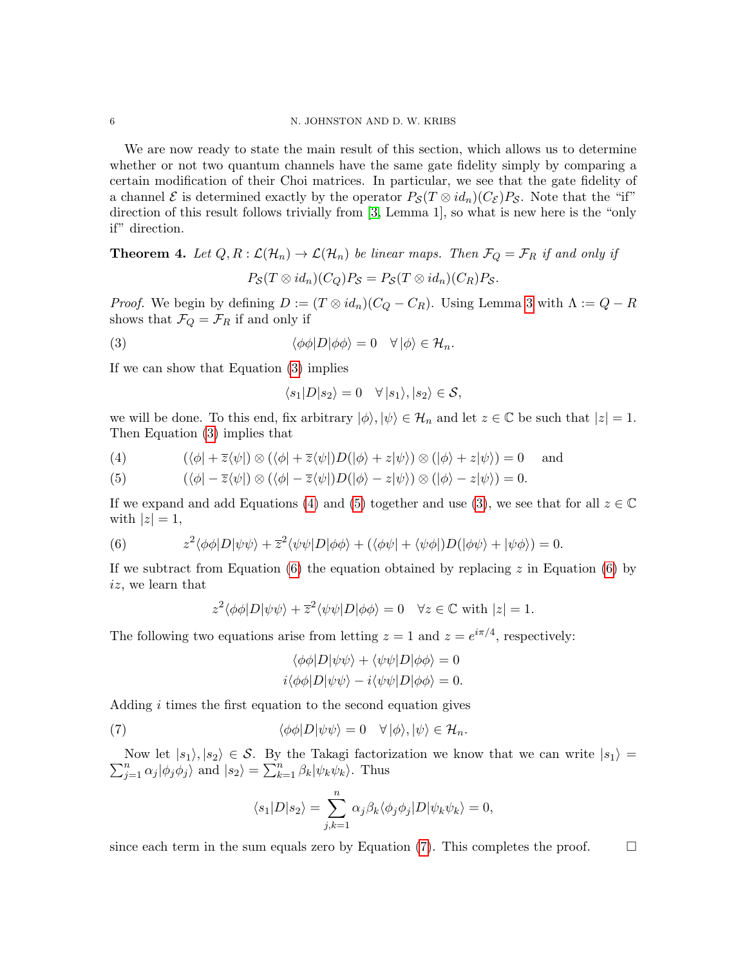We are now ready to state the main result of this section, which allows us to determine whether or not two quantum channels have the same gate fidelity simply by comparing a certain modification of their Choi matrices. In particular, we see that the gate fidelity of a channel E is determined exactly by the operator  $P_{\mathcal{S}}(T \otimes id_n)(C_{\mathcal{E}})P_{\mathcal{S}}$ . Note that the "if" direction of this result follows trivially from [\[3,](#page-14-2) Lemma 1], so what is new here is the "only if" direction.

<span id="page-5-5"></span>**Theorem 4.** Let  $Q, R : \mathcal{L}(\mathcal{H}_n) \to \mathcal{L}(\mathcal{H}_n)$  be linear maps. Then  $\mathcal{F}_Q = \mathcal{F}_R$  if and only if

$$
P_{\mathcal{S}}(T\otimes id_n)(C_Q)P_{\mathcal{S}}=P_{\mathcal{S}}(T\otimes id_n)(C_R)P_{\mathcal{S}}.
$$

*Proof.* We begin by defining  $D := (T \otimes id_n)(C_Q - C_R)$ . Using Lemma [3](#page-4-1) with  $\Lambda := Q - R$ shows that  $\mathcal{F}_Q = \mathcal{F}_R$  if and only if

<span id="page-5-0"></span>(3) 
$$
\langle \phi \phi | D | \phi \phi \rangle = 0 \quad \forall |\phi\rangle \in \mathcal{H}_n.
$$

If we can show that Equation [\(3\)](#page-5-0) implies

$$
\langle s_1|D|s_2\rangle = 0 \quad \forall |s_1\rangle, |s_2\rangle \in \mathcal{S},
$$

we will be done. To this end, fix arbitrary  $|\phi\rangle, |\psi\rangle \in \mathcal{H}_n$  and let  $z \in \mathbb{C}$  be such that  $|z| = 1$ . Then Equation [\(3\)](#page-5-0) implies that

<span id="page-5-2"></span><span id="page-5-1"></span>(4) 
$$
(\langle \phi | + \overline{z} \langle \psi |) \otimes (\langle \phi | + \overline{z} \langle \psi |) D(|\phi \rangle + z | \psi \rangle) \otimes (|\phi \rangle + z | \psi \rangle) = 0 \text{ and}
$$

(5) 
$$
(\langle \phi | -\overline{z} \langle \psi |) \otimes (\langle \phi | -\overline{z} \langle \psi |) D(|\phi \rangle - z | \psi \rangle) \otimes (|\phi \rangle - z | \psi \rangle) = 0.
$$

If we expand and add Equations [\(4\)](#page-5-1) and [\(5\)](#page-5-2) together and use [\(3\)](#page-5-0), we see that for all  $z \in \mathbb{C}$ with  $|z|=1$ ,

<span id="page-5-3"></span>(6) 
$$
z^2 \langle \phi \phi | D | \psi \psi \rangle + \overline{z}^2 \langle \psi \psi | D | \phi \phi \rangle + (\langle \phi \psi | + \langle \psi \phi |) D (|\phi \psi \rangle + |\psi \phi \rangle) = 0.
$$

If we subtract from Equation [\(6\)](#page-5-3) the equation obtained by replacing  $z$  in Equation (6) by iz, we learn that

$$
z^2 \langle \phi \phi | D | \psi \psi \rangle + \overline{z}^2 \langle \psi \psi | D | \phi \phi \rangle = 0 \quad \forall z \in \mathbb{C} \text{ with } |z| = 1.
$$

The following two equations arise from letting  $z = 1$  and  $z = e^{i\pi/4}$ , respectively:

$$
\langle \phi \phi | D | \psi \psi \rangle + \langle \psi \psi | D | \phi \phi \rangle = 0
$$
  

$$
i \langle \phi \phi | D | \psi \psi \rangle - i \langle \psi \psi | D | \phi \phi \rangle = 0.
$$

Adding  $i$  times the first equation to the second equation gives

<span id="page-5-4"></span>(7) 
$$
\langle \phi \phi | D | \psi \psi \rangle = 0 \quad \forall | \phi \rangle, | \psi \rangle \in \mathcal{H}_n.
$$

 $\sum_{j=1}^{n} \alpha_j |\phi_j \phi_j\rangle$  and  $|s_2\rangle = \sum_{k=1}^{n} \beta_k |\psi_k \psi_k\rangle$ . Thus Now let  $|s_1\rangle, |s_2\rangle \in \mathcal{S}$ . By the Takagi factorization we know that we can write  $|s_1\rangle =$ 

$$
\langle s_1|D|s_2\rangle = \sum_{j,k=1}^n \alpha_j \beta_k \langle \phi_j \phi_j | D | \psi_k \psi_k \rangle = 0,
$$

since each term in the sum equals zero by Equation [\(7\)](#page-5-4). This completes the proof.  $\square$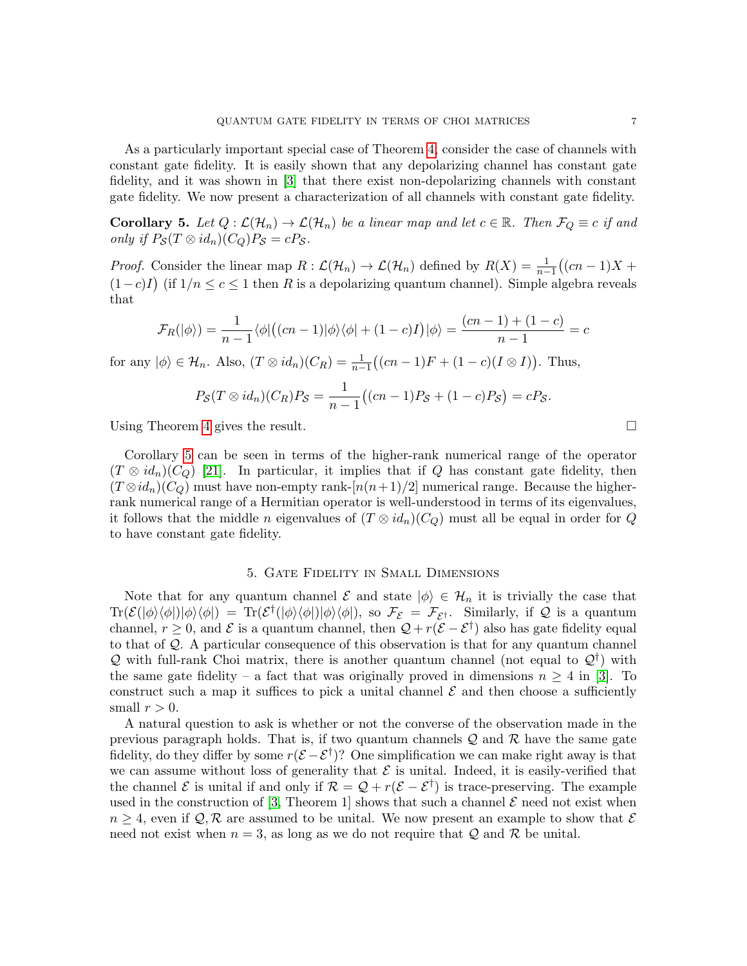As a particularly important special case of Theorem [4,](#page-5-5) consider the case of channels with constant gate fidelity. It is easily shown that any depolarizing channel has constant gate fidelity, and it was shown in [\[3\]](#page-14-2) that there exist non-depolarizing channels with constant gate fidelity. We now present a characterization of all channels with constant gate fidelity.

<span id="page-6-1"></span>**Corollary 5.** Let  $Q: \mathcal{L}(\mathcal{H}_n) \to \mathcal{L}(\mathcal{H}_n)$  be a linear map and let  $c \in \mathbb{R}$ . Then  $\mathcal{F}_Q \equiv c$  if and only if  $P_{\mathcal{S}}(T \otimes id_n)(C_Q)P_{\mathcal{S}} = cP_{\mathcal{S}}$ .

*Proof.* Consider the linear map  $R : \mathcal{L}(\mathcal{H}_n) \to \mathcal{L}(\mathcal{H}_n)$  defined by  $R(X) = \frac{1}{n-1}((cn-1)X +$  $(1-c)I$ ) (if  $1/n \leq c \leq 1$  then R is a depolarizing quantum channel). Simple algebra reveals that

$$
\mathcal{F}_R(|\phi\rangle) = \frac{1}{n-1} \langle \phi | ((cn-1)|\phi\rangle \langle \phi | + (1-c)I) | \phi \rangle = \frac{(cn-1) + (1-c)}{n-1} = c
$$

for any  $|\phi\rangle \in \mathcal{H}_n$ . Also,  $(T \otimes id_n)(C_R) = \frac{1}{n-1}((cn-1)F + (1-c)(I \otimes I))$ . Thus,

$$
P_{\mathcal{S}}(T \otimes id_n)(C_R)P_{\mathcal{S}} = \frac{1}{n-1}((cn-1)P_{\mathcal{S}} + (1-c)P_{\mathcal{S}}) = cP_{\mathcal{S}}.
$$

Using Theorem [4](#page-5-5) gives the result.  $\square$ 

Corollary [5](#page-6-1) can be seen in terms of the higher-rank numerical range of the operator  $(T \otimes id_n)(C_Q)$  [\[21\]](#page-14-20). In particular, it implies that if Q has constant gate fidelity, then  $(T \otimes id_n)(C_Q)$  must have non-empty rank- $[n(n+1)/2]$  numerical range. Because the higherrank numerical range of a Hermitian operator is well-understood in terms of its eigenvalues, it follows that the middle n eigenvalues of  $(T \otimes id_n)(C_Q)$  must all be equal in order for Q to have constant gate fidelity.

#### 5. Gate Fidelity in Small Dimensions

<span id="page-6-0"></span>Note that for any quantum channel  $\mathcal E$  and state  $|\phi\rangle \in \mathcal H_n$  it is trivially the case that  $\text{Tr}(\mathcal{E}(|\phi\rangle\langle\phi|)|\phi\rangle\langle\phi|) = \text{Tr}(\mathcal{E}^{\dagger}(|\phi\rangle\langle\phi|)|\phi\rangle\langle\phi|),$  so  $\mathcal{F}_{\mathcal{E}} = \mathcal{F}_{\mathcal{E}^{\dagger}}$ . Similarly, if Q is a quantum channel,  $r \geq 0$ , and  $\mathcal E$  is a quantum channel, then  $\mathcal Q + r(\mathcal E - \mathcal E^{\dagger})$  also has gate fidelity equal to that of Q. A particular consequence of this observation is that for any quantum channel Q with full-rank Choi matrix, there is another quantum channel (not equal to  $\mathcal{Q}^{\dagger}$ ) with the same gate fidelity – a fact that was originally proved in dimensions  $n \geq 4$  in [\[3\]](#page-14-2). To construct such a map it suffices to pick a unital channel  $\mathcal E$  and then choose a sufficiently small  $r > 0$ .

A natural question to ask is whether or not the converse of the observation made in the previous paragraph holds. That is, if two quantum channels  $\mathcal{Q}$  and  $\mathcal{R}$  have the same gate fidelity, do they differ by some  $r(\mathcal{E} - \mathcal{E}^{\dagger})$ ? One simplification we can make right away is that we can assume without loss of generality that  $\mathcal E$  is unital. Indeed, it is easily-verified that the channel  $\mathcal E$  is unital if and only if  $\mathcal R = \mathcal Q + r(\mathcal E - \mathcal E^{\dagger})$  is trace-preserving. The example used in the construction of [\[3,](#page-14-2) Theorem 1] shows that such a channel  $\mathcal E$  need not exist when  $n \geq 4$ , even if  $\mathcal{Q}, \mathcal{R}$  are assumed to be unital. We now present an example to show that  $\mathcal{E}$ need not exist when  $n = 3$ , as long as we do not require that Q and R be unital.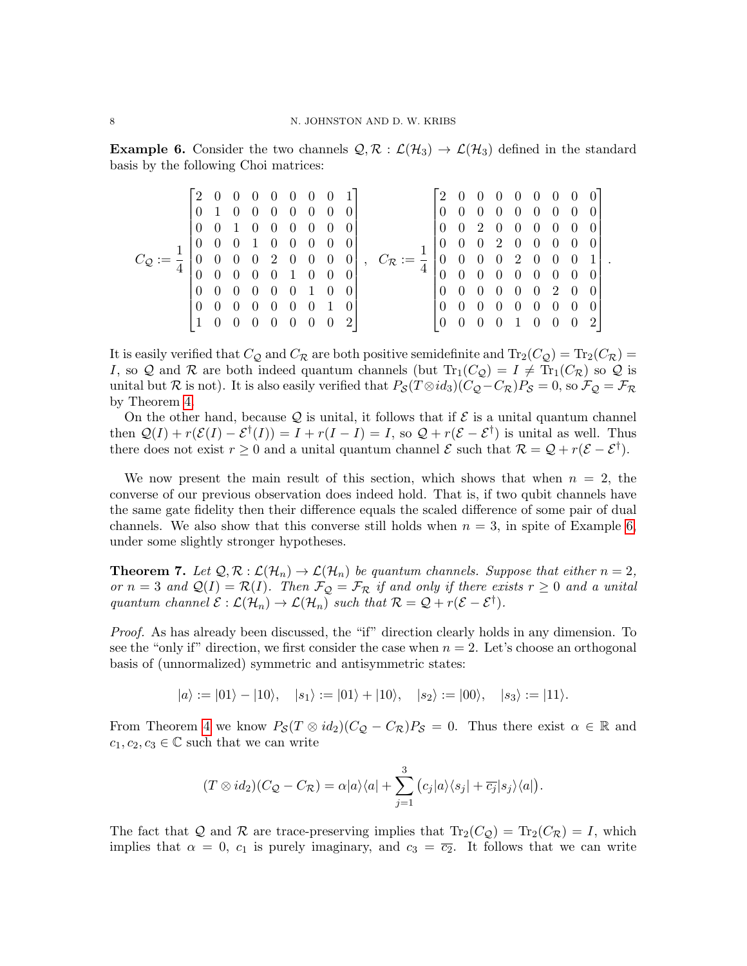<span id="page-7-0"></span>**Example 6.** Consider the two channels  $\mathcal{Q}, \mathcal{R} : \mathcal{L}(\mathcal{H}_3) \to \mathcal{L}(\mathcal{H}_3)$  defined in the standard basis by the following Choi matrices:

$$
C_{\mathcal{Q}} := \frac{1}{4} \begin{bmatrix} 2 & 0 & 0 & 0 & 0 & 0 & 0 & 0 & 1 \\ 0 & 1 & 0 & 0 & 0 & 0 & 0 & 0 & 0 \\ 0 & 0 & 1 & 0 & 0 & 0 & 0 & 0 & 0 \\ 0 & 0 & 0 & 1 & 0 & 0 & 0 & 0 & 0 \\ 0 & 0 & 0 & 0 & 2 & 0 & 0 & 0 & 0 \\ 0 & 0 & 0 & 0 & 0 & 1 & 0 & 0 & 0 \\ 0 & 0 & 0 & 0 & 0 & 0 & 1 & 0 & 0 \\ 0 & 0 & 0 & 0 & 0 & 0 & 1 & 0 & 0 \\ 1 & 0 & 0 & 0 & 0 & 0 & 0 & 0 & 2 \end{bmatrix}, \quad C_{\mathcal{R}} := \frac{1}{4} \begin{bmatrix} 2 & 0 & 0 & 0 & 0 & 0 & 0 & 0 & 0 \\ 0 & 0 & 0 & 0 & 0 & 0 & 0 & 0 & 0 \\ 0 & 0 & 2 & 0 & 0 & 0 & 0 & 0 & 0 \\ 0 & 0 & 0 & 2 & 0 & 0 & 0 & 0 & 0 \\ 0 & 0 & 0 & 0 & 0 & 0 & 0 & 0 & 0 \\ 0 & 0 & 0 & 0 & 0 & 0 & 0 & 0 & 0 \\ 0 & 0 & 0 & 0 & 0 & 0 & 0 & 0 & 0 \\ 0 & 0 & 0 & 0 & 0 & 0 & 0 & 0 & 2 \end{bmatrix}
$$

.

It is easily verified that  $C_Q$  and  $C_R$  are both positive semidefinite and  $Tr_2(C_Q) = Tr_2(C_R)$ I, so Q and R are both indeed quantum channels (but  $Tr_1(C_Q) = I \neq Tr_1(C_R)$  so Q is unital but R is not). It is also easily verified that  $P_S(T \otimes id_3)(C_Q - C_R)P_S = 0$ , so  $\mathcal{F}_Q = \mathcal{F}_R$ by Theorem [4.](#page-5-5)

On the other hand, because  $\mathcal{Q}$  is unital, it follows that if  $\mathcal{E}$  is a unital quantum channel then  $Q(I) + r(\mathcal{E}(I) - \mathcal{E}^{\dagger}(I)) = I + r(I - I) = I$ , so  $Q + r(\mathcal{E} - \mathcal{E}^{\dagger})$  is unital as well. Thus there does not exist  $r \geq 0$  and a unital quantum channel  $\mathcal{E}$  such that  $\mathcal{R} = \mathcal{Q} + r(\mathcal{E} - \mathcal{E}^{\dagger}).$ 

We now present the main result of this section, which shows that when  $n = 2$ , the converse of our previous observation does indeed hold. That is, if two qubit channels have the same gate fidelity then their difference equals the scaled difference of some pair of dual channels. We also show that this converse still holds when  $n = 3$ , in spite of Example [6,](#page-7-0) under some slightly stronger hypotheses.

<span id="page-7-1"></span>**Theorem 7.** Let  $\mathcal{Q}, \mathcal{R} : \mathcal{L}(\mathcal{H}_n) \to \mathcal{L}(\mathcal{H}_n)$  be quantum channels. Suppose that either  $n = 2$ , or  $n = 3$  and  $\mathcal{Q}(I) = \mathcal{R}(I)$ . Then  $\mathcal{F}_{\mathcal{Q}} = \mathcal{F}_{\mathcal{R}}$  if and only if there exists  $r \geq 0$  and a unital quantum channel  $\mathcal{E}: \mathcal{L}(\mathcal{H}_n) \to \mathcal{L}(\mathcal{H}_n)$  such that  $\mathcal{R} = \mathcal{Q} + r(\mathcal{E} - \mathcal{E}^{\dagger}).$ 

Proof. As has already been discussed, the "if" direction clearly holds in any dimension. To see the "only if" direction, we first consider the case when  $n = 2$ . Let's choose an orthogonal basis of (unnormalized) symmetric and antisymmetric states:

 $|a\rangle := |01\rangle - |10\rangle, \quad |s_1\rangle := |01\rangle + |10\rangle, \quad |s_2\rangle := |00\rangle, \quad |s_3\rangle := |11\rangle.$ 

From Theorem [4](#page-5-5) we know  $P_{\mathcal{S}}(T \otimes id_2)(C_{\mathcal{Q}} - C_{\mathcal{R}})P_{\mathcal{S}} = 0$ . Thus there exist  $\alpha \in \mathbb{R}$  and  $c_1, c_2, c_3 \in \mathbb{C}$  such that we can write

$$
(T \otimes id_2)(C_{\mathcal{Q}} - C_{\mathcal{R}}) = \alpha |a\rangle\langle a| + \sum_{j=1}^3 (c_j |a\rangle\langle s_j| + \overline{c_j}|s_j\rangle\langle a|).
$$

The fact that Q and R are trace-preserving implies that  $\text{Tr}_2(C_{\mathcal{Q}}) = \text{Tr}_2(C_{\mathcal{R}}) = I$ , which implies that  $\alpha = 0$ ,  $c_1$  is purely imaginary, and  $c_3 = \overline{c_2}$ . It follows that we can write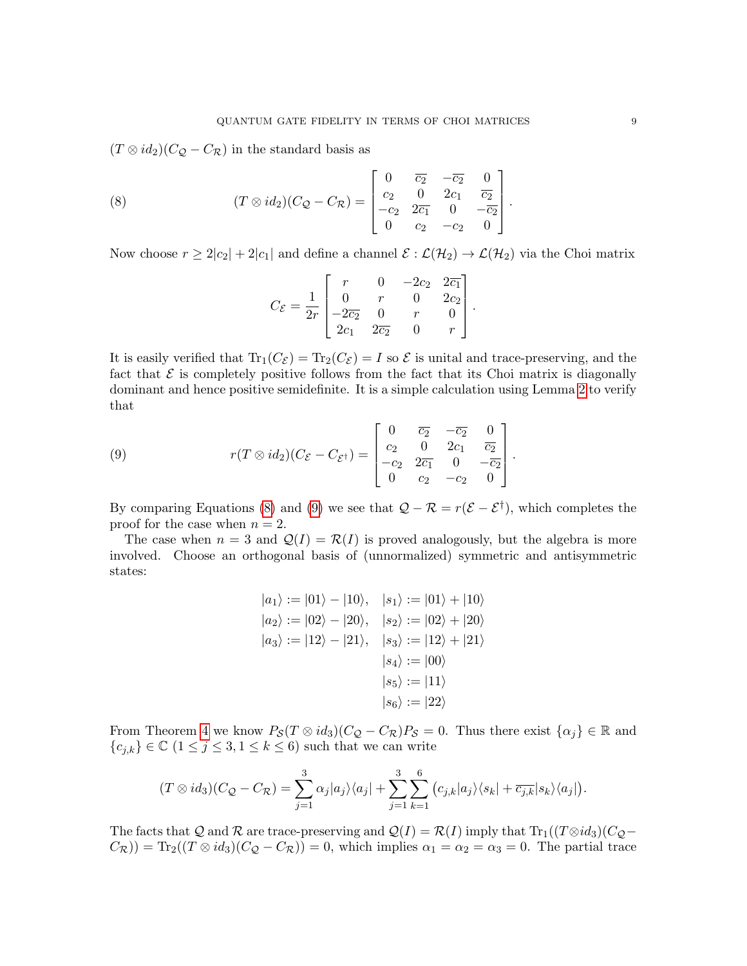$(T \otimes id_2)(C_Q - C_{\mathcal{R}})$  in the standard basis as

<span id="page-8-0"></span>(8) 
$$
(T \otimes id_2)(C_{\mathcal{Q}} - C_{\mathcal{R}}) = \begin{bmatrix} 0 & \overline{c_2} & -\overline{c_2} & 0 \\ c_2 & 0 & 2c_1 & \overline{c_2} \\ -c_2 & 2\overline{c_1} & 0 & -\overline{c_2} \\ 0 & c_2 & -c_2 & 0 \end{bmatrix}.
$$

Now choose  $r \geq 2|c_2| + 2|c_1|$  and define a channel  $\mathcal{E} : \mathcal{L}(\mathcal{H}_2) \to \mathcal{L}(\mathcal{H}_2)$  via the Choi matrix

$$
C_{\mathcal{E}} = \frac{1}{2r} \begin{bmatrix} r & 0 & -2c_2 & 2\overline{c_1} \\ 0 & r & 0 & 2c_2 \\ -2\overline{c_2} & 0 & r & 0 \\ 2c_1 & 2\overline{c_2} & 0 & r \end{bmatrix}.
$$

It is easily verified that  $\text{Tr}_1(C_{\mathcal{E}}) = \text{Tr}_2(C_{\mathcal{E}}) = I$  so  $\mathcal E$  is unital and trace-preserving, and the fact that  $\mathcal E$  is completely positive follows from the fact that its Choi matrix is diagonally dominant and hence positive semidefinite. It is a simple calculation using Lemma [2](#page-4-2) to verify that

<span id="page-8-1"></span>(9) 
$$
r(T \otimes id_2)(C_{\mathcal{E}} - C_{\mathcal{E}^{\dagger}}) = \begin{bmatrix} 0 & \overline{c_2} & -\overline{c_2} & 0 \\ c_2 & 0 & 2c_1 & \overline{c_2} \\ -c_2 & 2\overline{c_1} & 0 & -\overline{c_2} \\ 0 & c_2 & -c_2 & 0 \end{bmatrix}.
$$

By comparing Equations [\(8\)](#page-8-0) and [\(9\)](#page-8-1) we see that  $\mathcal{Q} - \mathcal{R} = r(\mathcal{E} - \mathcal{E}^{\dagger})$ , which completes the proof for the case when  $n = 2$ .

The case when  $n = 3$  and  $\mathcal{Q}(I) = \mathcal{R}(I)$  is proved analogously, but the algebra is more involved. Choose an orthogonal basis of (unnormalized) symmetric and antisymmetric states:

$$
|a_1\rangle := |01\rangle - |10\rangle, |s_1\rangle := |01\rangle + |10\rangle
$$
  
\n
$$
|a_2\rangle := |02\rangle - |20\rangle, |s_2\rangle := |02\rangle + |20\rangle
$$
  
\n
$$
|a_3\rangle := |12\rangle - |21\rangle, |s_3\rangle := |12\rangle + |21\rangle
$$
  
\n
$$
|s_4\rangle := |00\rangle
$$
  
\n
$$
|s_5\rangle := |11\rangle
$$
  
\n
$$
|s_6\rangle := |22\rangle
$$

From Theorem [4](#page-5-5) we know  $P_{\mathcal{S}}(T \otimes id_3)(C_{\mathcal{Q}} - C_{\mathcal{R}})P_{\mathcal{S}} = 0$ . Thus there exist  $\{\alpha_j\} \in \mathbb{R}$  and  ${c_{j,k}} \in \mathbb{C}$   $(1 \leq j \leq 3, 1 \leq k \leq 6)$  such that we can write

$$
(T \otimes id_3)(C_{\mathcal{Q}} - C_{\mathcal{R}}) = \sum_{j=1}^3 \alpha_j |a_j\rangle\langle a_j| + \sum_{j=1}^3 \sum_{k=1}^6 (c_{j,k} |a_j\rangle\langle s_k| + \overline{c_{j,k}} |s_k\rangle\langle a_j|).
$$

The facts that Q and R are trace-preserving and  $Q(I) = R(I)$  imply that  $Tr_1((T \otimes id_3)(C_Q (C_{\mathcal{R}})$ ) = Tr<sub>2</sub>( $(T \otimes id_3)(C_{\mathcal{Q}} - C_{\mathcal{R}})$ ) = 0, which implies  $\alpha_1 = \alpha_2 = \alpha_3 = 0$ . The partial trace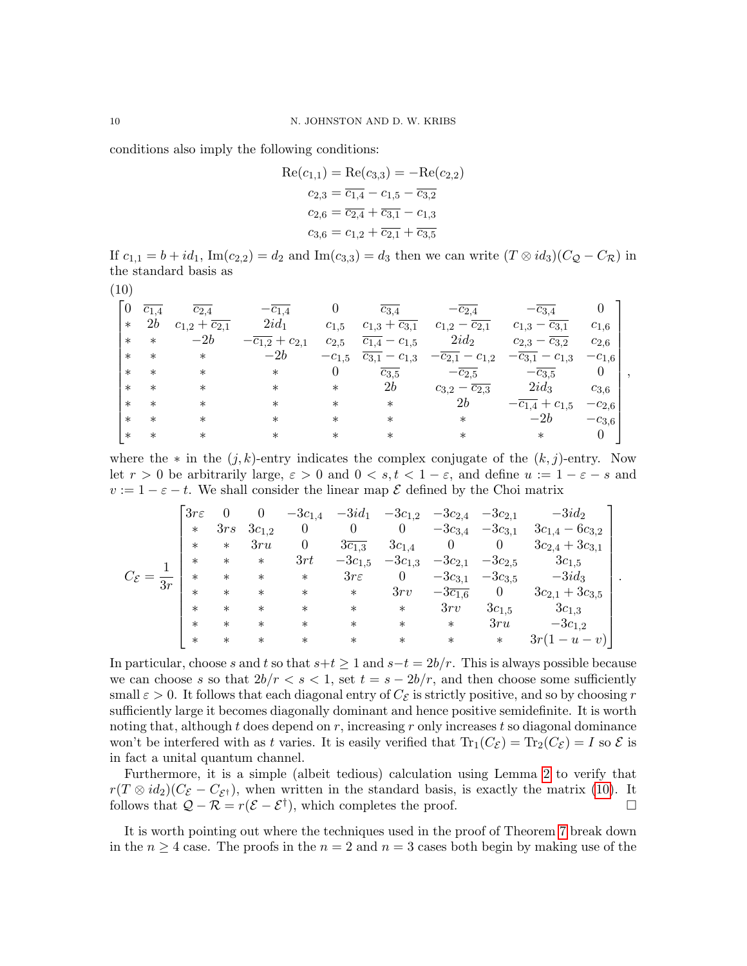conditions also imply the following conditions:

$$
Re(c_{1,1}) = Re(c_{3,3}) = -Re(c_{2,2})
$$
  
\n
$$
c_{2,3} = \overline{c_{1,4}} - c_{1,5} - \overline{c_{3,2}}
$$
  
\n
$$
c_{2,6} = \overline{c_{2,4}} + \overline{c_{3,1}} - c_{1,3}
$$
  
\n
$$
c_{3,6} = c_{1,2} + \overline{c_{2,1}} + \overline{c_{3,5}}
$$

If  $c_{1,1} = b + id_1$ , Im $(c_{2,2}) = d_2$  and Im $(c_{3,3}) = d_3$  then we can write  $(T \otimes id_3)(C_Q - C_R)$  in the standard basis as

<span id="page-9-0"></span>(10)

|        | $c_{1,4}$ | $\overline{c_{2.4}}$         | $-c_{1,4}$                      |            | $c_{3,4}$                      | $-c_{2,4}$                     | $-c_{3,4}$                      |            |  |
|--------|-----------|------------------------------|---------------------------------|------------|--------------------------------|--------------------------------|---------------------------------|------------|--|
| $\ast$ | 2b        | $c_{1,2}+\overline{c_{2,1}}$ | $2id_1$                         | $c_{1,5}$  | $c_{1,3}+\overline{c_{3,1}}$   | $c_{1,2} - c_{2,1}$            | $-c_{3,1}$<br>$c_{1,3}$         | $c_{1,6}$  |  |
| $\ast$ | $\ast$    | $-2b$                        | $-\overline{c_{1,2}} + c_{2,1}$ | $c_{2,5}$  | $\overline{c_{1,4}} - c_{1,5}$ | $2id_2$                        | $c_{2,3}-\overline{c_{3,2}}$    | $c_{2,6}$  |  |
| $\ast$ | $^\ast$   | $\ast$                       | $-2b$                           | $-c_{1,5}$ | $\overline{c_{3,1}} - c_{1,3}$ | $-c_{2,1} - c_{1,2}$           | $-c_{3,1} - c_{1,3}$            | $-c_{1,6}$ |  |
| $\ast$ | $^\ast$   | $\ast$                       | $\ast$                          |            | $c_{3,5}$                      | $-\overline{c_{2,5}}$          | $-\overline{c_{3,5}}$           | 0          |  |
| $\ast$ | $^\ast$   | $\ast$                       | $\ast$                          | $\ast$     | 2b                             | $c_{3,2} - \overline{c_{2,3}}$ | $2id_3$                         | $c_{3,6}$  |  |
| $\ast$ | $^\ast$   | $\ast$                       | $^\ast$                         | $\ast$     | $\ast$                         | 2b                             | $-\overline{c_{1,4}} + c_{1,5}$ | $-c_{2,6}$ |  |
| $\ast$ | $\ast$    | $\ast$                       | $^\ast$                         | $^\ast$    | $^\ast$                        | $\ast$                         | $-2b$                           | $-c_{3,6}$ |  |
| $\ast$ | $^\ast$   | $^\ast$                      | $^\ast$                         |            |                                | $\ast$                         | $\ast$                          |            |  |

where the  $*$  in the  $(j, k)$ -entry indicates the complex conjugate of the  $(k, j)$ -entry. Now let  $r > 0$  be arbitrarily large,  $\varepsilon > 0$  and  $0 < s, t < 1 - \varepsilon$ , and define  $u := 1 - \varepsilon - s$  and  $v := 1 - \varepsilon - t$ . We shall consider the linear map  $\mathcal E$  defined by the Choi matrix

|    | $3r\epsilon$ |        |            | $-3c_{1,4}$      | $-3id_1$              | $-3c_{1,2}$      | $-3c_{2,4}$            | $-3c_{2,1}$    | $-3id_2$              |  |
|----|--------------|--------|------------|------------------|-----------------------|------------------|------------------------|----------------|-----------------------|--|
|    | $\ast$       | 3rs    | $3c_{1,2}$ | $\boldsymbol{0}$ |                       | $\theta$         | $-3c_{3,4}$            | $-3c_{3,1}$    | $3c_{1,4}-6c_{3,2}$   |  |
|    | $\ast$       | $\ast$ | 3ru        | $\boldsymbol{0}$ | $3\overline{c_{1,3}}$ | $3c_{1,4}$       | 0                      | $\overline{0}$ | $3c_{2,4} + 3c_{3,1}$ |  |
|    | $\ast$       | $\ast$ | $\ast$     | 3rt              | $-3c_{1,5}$           | $-3c_{1,3}$      | $-3c_{2,1}$            | $-3c_{2,5}$    | $3c_{1,5}$            |  |
| 3r | $\ast$       | $\ast$ | $\ast$     | $\ast$           | $3r\epsilon$          | $\boldsymbol{0}$ | $-3c_{3,1}$            | $-3c_{3,5}$    | $-3id_3$              |  |
|    | $\ast$       | $\ast$ | $\ast$     | $\ast$           | $\ast$                | 3rv              | $-3\overline{c_{1,6}}$ | $\overline{0}$ | $3c_{2,1}+3c_{3,5}$   |  |
|    | $\ast$       | $\ast$ | $\ast$     | $\ast$           | $\ast$                | $\ast$           | 3rv                    | $3c_{1,5}$     | $3c_{1,3}$            |  |
|    | $\ast$       | $\ast$ | $\ast$     | $\ast$           | $\ast$                | $\ast$           | $\ast$                 | 3ru            | $-3c_{1,2}$           |  |
|    | $\ast$       | $\ast$ | $\ast$     | $\ast$           | $\ast$                | $\ast$           | $\ast$                 | $\ast$         | $3r(1-u-v)$           |  |

In particular, choose s and t so that  $s+t \geq 1$  and  $s-t = 2b/r$ . This is always possible because we can choose s so that  $2b/r < s < 1$ , set  $t = s - 2b/r$ , and then choose some sufficiently small  $\varepsilon > 0$ . It follows that each diagonal entry of  $C_{\mathcal{E}}$  is strictly positive, and so by choosing r sufficiently large it becomes diagonally dominant and hence positive semidefinite. It is worth noting that, although t does depend on  $r$ , increasing r only increases t so diagonal dominance won't be interfered with as t varies. It is easily verified that  $Tr_1(C_{\mathcal{E}}) = Tr_2(C_{\mathcal{E}}) = I$  so  $\mathcal{E}$  is in fact a unital quantum channel.

Furthermore, it is a simple (albeit tedious) calculation using Lemma [2](#page-4-2) to verify that  $r(T \otimes id_2)(C_{\mathcal{E}} - C_{\mathcal{E}^{\dagger}})$ , when written in the standard basis, is exactly the matrix [\(10\)](#page-9-0). It follows that  $Q - R = r(\mathcal{E} - \mathcal{E}^{\dagger})$ , which completes the proof. □

It is worth pointing out where the techniques used in the proof of Theorem [7](#page-7-1) break down in the  $n \geq 4$  case. The proofs in the  $n = 2$  and  $n = 3$  cases both begin by making use of the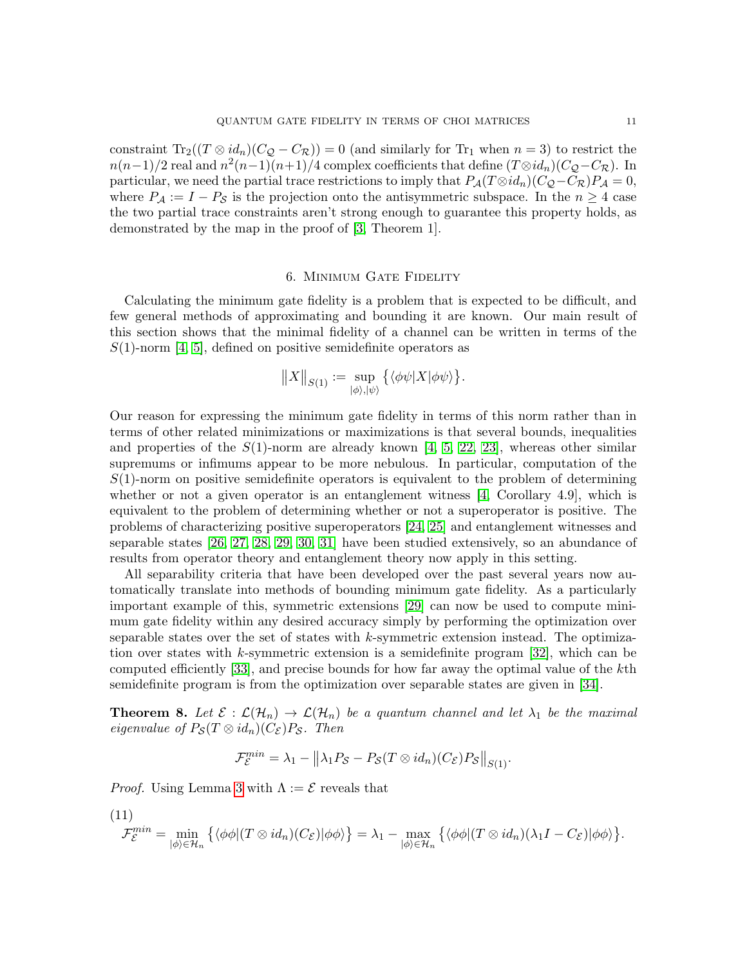constraint  $\text{Tr}_2((T \otimes id_n)(C_Q - C_{\mathcal{R}})) = 0$  (and similarly for  $\text{Tr}_1$  when  $n = 3$ ) to restrict the  $n(n-1)/2$  real and  $n^2(n-1)(n+1)/4$  complex coefficients that define  $(T \otimes id_n)(C_{\mathcal{Q}}-C_{\mathcal{R}})$ . In particular, we need the partial trace restrictions to imply that  $P_{\mathcal{A}}(T \otimes id_n)(C_{\mathcal{Q}}-C_{\mathcal{R}})P_{\mathcal{A}}=0$ , where  $P_A := I - P_S$  is the projection onto the antisymmetric subspace. In the  $n \geq 4$  case the two partial trace constraints aren't strong enough to guarantee this property holds, as demonstrated by the map in the proof of [\[3,](#page-14-2) Theorem 1].

# 6. Minimum Gate Fidelity

<span id="page-10-0"></span>Calculating the minimum gate fidelity is a problem that is expected to be difficult, and few general methods of approximating and bounding it are known. Our main result of this section shows that the minimal fidelity of a channel can be written in terms of the  $S(1)$ -norm [\[4,](#page-14-3) [5\]](#page-14-4), defined on positive semidefinite operators as

$$
||X||_{S(1)} := \sup_{|\phi\rangle, |\psi\rangle} \{ \langle \phi\psi|X|\phi\psi \rangle \}.
$$

Our reason for expressing the minimum gate fidelity in terms of this norm rather than in terms of other related minimizations or maximizations is that several bounds, inequalities and properties of the  $S(1)$ -norm are already known [\[4,](#page-14-3) [5,](#page-14-4) [22,](#page-14-21) [23\]](#page-14-22), whereas other similar supremums or infimums appear to be more nebulous. In particular, computation of the  $S(1)$ -norm on positive semidefinite operators is equivalent to the problem of determining whether or not a given operator is an entanglement witness  $[4,$  Corollary 4.9, which is equivalent to the problem of determining whether or not a superoperator is positive. The problems of characterizing positive superoperators [\[24,](#page-14-23) [25\]](#page-14-24) and entanglement witnesses and separable states [\[26,](#page-14-25) [27,](#page-15-0) [28,](#page-15-1) [29,](#page-15-2) [30,](#page-15-3) [31\]](#page-15-4) have been studied extensively, so an abundance of results from operator theory and entanglement theory now apply in this setting.

All separability criteria that have been developed over the past several years now automatically translate into methods of bounding minimum gate fidelity. As a particularly important example of this, symmetric extensions [\[29\]](#page-15-2) can now be used to compute minimum gate fidelity within any desired accuracy simply by performing the optimization over separable states over the set of states with  $k$ -symmetric extension instead. The optimiza-tion over states with k-symmetric extension is a semidefinite program [\[32\]](#page-15-5), which can be computed efficiently [\[33\]](#page-15-6), and precise bounds for how far away the optimal value of the kth semidefinite program is from the optimization over separable states are given in [\[34\]](#page-15-7).

<span id="page-10-1"></span>**Theorem 8.** Let  $\mathcal{E}: \mathcal{L}(\mathcal{H}_n) \to \mathcal{L}(\mathcal{H}_n)$  be a quantum channel and let  $\lambda_1$  be the maximal eigenvalue of  $P_{\mathcal{S}}(T \otimes id_n)(C_{\mathcal{E}})P_{\mathcal{S}}$ . Then

$$
\mathcal{F}_{\mathcal{E}}^{min} = \lambda_1 - \left\| \lambda_1 P_{\mathcal{S}} - P_{\mathcal{S}}(T \otimes id_n)(C_{\mathcal{E}}) P_{\mathcal{S}} \right\|_{S(1)}.
$$

*Proof.* Using Lemma [3](#page-4-1) with  $\Lambda := \mathcal{E}$  reveals that

(11)

$$
\mathcal{F}_{\mathcal{E}}^{\min} = \min_{|\phi\rangle \in \mathcal{H}_n} \left\{ \langle \phi\phi | (T \otimes id_n)(C_{\mathcal{E}}) | \phi\phi \rangle \right\} = \lambda_1 - \max_{|\phi\rangle \in \mathcal{H}_n} \left\{ \langle \phi\phi | (T \otimes id_n)(\lambda_1 I - C_{\mathcal{E}}) | \phi\phi \rangle \right\}.
$$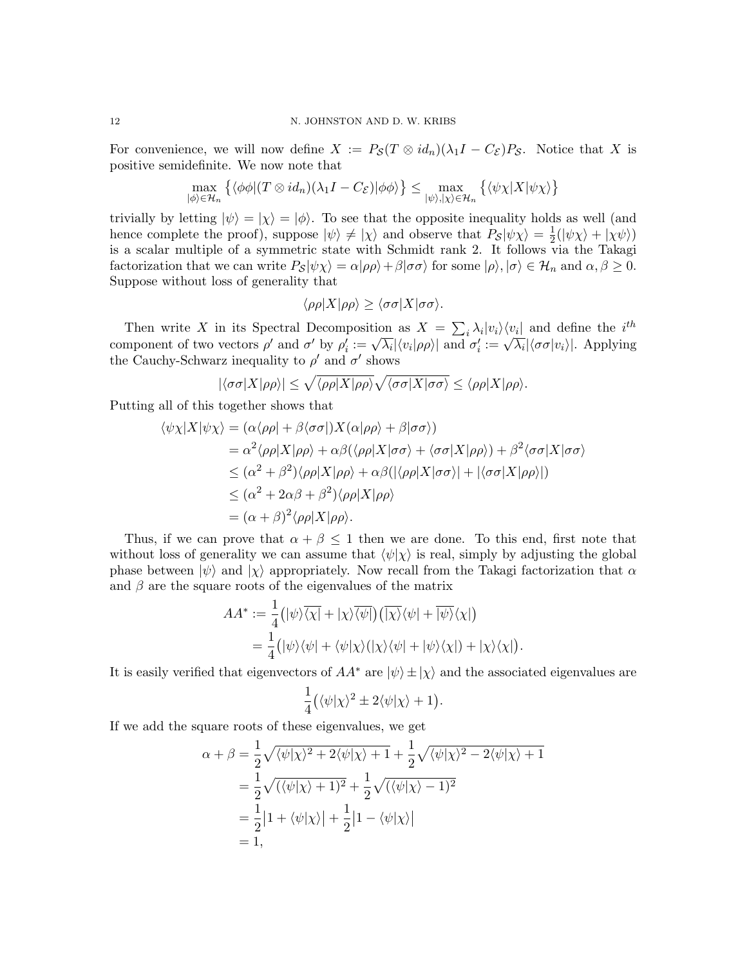For convenience, we will now define  $X := P_{\mathcal{S}}(T \otimes id_n)(\lambda_1 I - C_{\mathcal{E}})P_{\mathcal{S}}$ . Notice that X is positive semidefinite. We now note that

$$
\max_{|\phi\rangle \in \mathcal{H}_n} \left\{ \langle \phi\phi | (T \otimes id_n)(\lambda_1 I - C_{\mathcal{E}}) | \phi\phi \rangle \right\} \le \max_{|\psi\rangle, |\chi\rangle \in \mathcal{H}_n} \left\{ \langle \psi\chi | X | \psi\chi \rangle \right\}
$$

trivially by letting  $|\psi\rangle = |\chi\rangle = |\phi\rangle$ . To see that the opposite inequality holds as well (and hence complete the proof), suppose  $|\psi\rangle \neq |\chi\rangle$  and observe that  $P_{\mathcal{S}}|\psi\chi\rangle = \frac{1}{2}$  $\frac{1}{2}(|\psi \chi \rangle + |\chi \psi \rangle)$ is a scalar multiple of a symmetric state with Schmidt rank 2. It follows via the Takagi factorization that we can write  $P_{\mathcal{S}}|\psi\chi\rangle = \alpha|\rho\rho\rangle + \beta|\sigma\sigma\rangle$  for some  $|\rho\rangle, |\sigma\rangle \in \mathcal{H}_n$  and  $\alpha, \beta \geq 0$ . Suppose without loss of generality that

$$
\langle \rho \rho | X | \rho \rho \rangle \ge \langle \sigma \sigma | X | \sigma \sigma \rangle.
$$

Then write X in its Spectral Decomposition as  $X = \sum_i \lambda_i |v_i\rangle\langle v_i|$  and define the *i*<sup>th</sup> Then write  $\Lambda$  in its spectral Decomposition as  $\Lambda = \sum_i \lambda_i |v_i\rangle \langle v_i|$  and define the  $i$ <br>component of two vectors  $\rho'$  and  $\sigma'$  by  $\rho'_i := \sqrt{\lambda_i} |\langle v_i | \rho \rho \rangle|$  and  $\sigma'_i := \sqrt{\lambda_i} |\langle \sigma \sigma | v_i \rangle|$ . Applying the Cauchy-Schwarz inequality to  $\rho'$  and  $\sigma'$  shows

$$
|\langle \sigma \sigma | X | \rho \rho \rangle| \leq \sqrt{\langle \rho \rho | X | \rho \rho \rangle} \sqrt{\langle \sigma \sigma | X | \sigma \sigma \rangle} \leq \langle \rho \rho | X | \rho \rho \rangle.
$$

Putting all of this together shows that

$$
\langle \psi \chi | X | \psi \chi \rangle = (\alpha \langle \rho \rho | + \beta \langle \sigma \sigma |) X (\alpha | \rho \rho \rangle + \beta | \sigma \sigma \rangle)
$$
  
\n
$$
= \alpha^2 \langle \rho \rho | X | \rho \rho \rangle + \alpha \beta (\langle \rho \rho | X | \sigma \sigma \rangle + \langle \sigma \sigma | X | \rho \rho \rangle) + \beta^2 \langle \sigma \sigma | X | \sigma \sigma \rangle
$$
  
\n
$$
\leq (\alpha^2 + \beta^2) \langle \rho \rho | X | \rho \rho \rangle + \alpha \beta (|\langle \rho \rho | X | \sigma \sigma \rangle| + |\langle \sigma \sigma | X | \rho \rho \rangle|)
$$
  
\n
$$
\leq (\alpha^2 + 2\alpha\beta + \beta^2) \langle \rho \rho | X | \rho \rho \rangle
$$
  
\n
$$
= (\alpha + \beta)^2 \langle \rho \rho | X | \rho \rho \rangle.
$$

Thus, if we can prove that  $\alpha + \beta \leq 1$  then we are done. To this end, first note that without loss of generality we can assume that  $\langle \psi | \chi \rangle$  is real, simply by adjusting the global phase between  $|\psi\rangle$  and  $|\chi\rangle$  appropriately. Now recall from the Takagi factorization that  $\alpha$ and  $\beta$  are the square roots of the eigenvalues of the matrix

$$
AA^* := \frac{1}{4} (|\psi\rangle\overline{\langle \chi|} + |\chi\rangle\overline{\langle \psi|}) (\overline{|\chi\rangle}\langle \psi| + \overline{|\psi\rangle}\langle \chi|)
$$
  
= 
$$
\frac{1}{4} (|\psi\rangle\langle \psi| + \langle \psi|\chi\rangle(\overline{|\chi\rangle}\langle \psi| + |\psi\rangle\langle \chi|) + |\chi\rangle\langle \chi|)
$$

.

It is easily verified that eigenvectors of  $AA^*$  are  $|\psi\rangle \pm |\chi\rangle$  and the associated eigenvalues are

$$
\frac{1}{4}(\langle\psi|\chi\rangle^2 \pm 2\langle\psi|\chi\rangle + 1).
$$

If we add the square roots of these eigenvalues, we get

$$
\alpha + \beta = \frac{1}{2}\sqrt{\langle\psi|\chi\rangle^2 + 2\langle\psi|\chi\rangle + 1} + \frac{1}{2}\sqrt{\langle\psi|\chi\rangle^2 - 2\langle\psi|\chi\rangle + 1}
$$
  
=  $\frac{1}{2}\sqrt{(\langle\psi|\chi\rangle + 1)^2} + \frac{1}{2}\sqrt{(\langle\psi|\chi\rangle - 1)^2}$   
=  $\frac{1}{2}|1 + \langle\psi|\chi\rangle| + \frac{1}{2}|1 - \langle\psi|\chi\rangle|$   
= 1,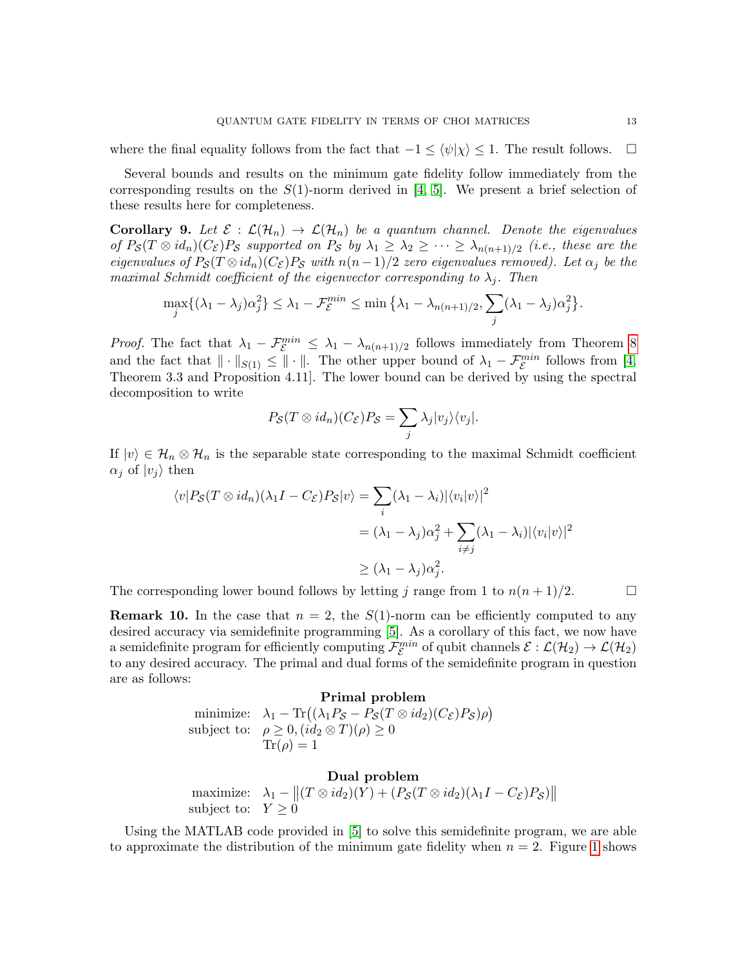where the final equality follows from the fact that  $-1 \leq \langle \psi | \chi \rangle \leq 1$ . The result follows.  $\square$ 

Several bounds and results on the minimum gate fidelity follow immediately from the corresponding results on the  $S(1)$ -norm derived in [\[4,](#page-14-3) [5\]](#page-14-4). We present a brief selection of these results here for completeness.

**Corollary 9.** Let  $\mathcal{E} : \mathcal{L}(\mathcal{H}_n) \to \mathcal{L}(\mathcal{H}_n)$  be a quantum channel. Denote the eigenvalues of  $P_{\mathcal{S}}(T \otimes id_n)(C_{\mathcal{E}})P_{\mathcal{S}}$  supported on  $P_{\mathcal{S}}$  by  $\lambda_1 \geq \lambda_2 \geq \cdots \geq \lambda_{n(n+1)/2}$  (i.e., these are the eigenvalues of  $P_{\mathcal{S}}(T \otimes id_n)(C_{\mathcal{E}})P_{\mathcal{S}}$  with  $n(n-1)/2$  zero eigenvalues removed). Let  $\alpha_i$  be the maximal Schmidt coefficient of the eigenvector corresponding to  $\lambda_i$ . Then

$$
\max_{j} \{ (\lambda_1 - \lambda_j) \alpha_j^2 \} \le \lambda_1 - \mathcal{F}_{\mathcal{E}}^{min} \le \min \{ \lambda_1 - \lambda_{n(n+1)/2}, \sum_j (\lambda_1 - \lambda_j) \alpha_j^2 \}.
$$

*Proof.* The fact that  $\lambda_1 - \mathcal{F}_{\mathcal{E}}^{min} \leq \lambda_1 - \lambda_{n(n+1)/2}$  follows immediately from Theorem [8](#page-10-1) and the fact that  $\|\cdot\|_{S(1)} \leq \|\cdot\|$ . The other upper bound of  $\lambda_1 - \mathcal{F}_{\mathcal{E}}^{min}$  follows from [\[4,](#page-14-3) Theorem 3.3 and Proposition 4.11]. The lower bound can be derived by using the spectral decomposition to write

$$
P_{\mathcal{S}}(T\otimes id_n)(C_{\mathcal{E}})P_{\mathcal{S}}=\sum_j\lambda_j|v_j\rangle\langle v_j|.
$$

If  $|v\rangle \in \mathcal{H}_n \otimes \mathcal{H}_n$  is the separable state corresponding to the maximal Schmidt coefficient  $\alpha_i$  of  $|v_i\rangle$  then

$$
\langle v|P_{\mathcal{S}}(T \otimes id_n)(\lambda_1 I - C_{\mathcal{E}})P_{\mathcal{S}}|v\rangle = \sum_i (\lambda_1 - \lambda_i) |\langle v_i|v\rangle|^2
$$
  
=  $(\lambda_1 - \lambda_j)\alpha_j^2 + \sum_{i \neq j} (\lambda_1 - \lambda_i) |\langle v_i|v\rangle|^2$   

$$
\geq (\lambda_1 - \lambda_j)\alpha_j^2.
$$

The corresponding lower bound follows by letting j range from 1 to  $n(n+1)/2$ .

**Remark 10.** In the case that  $n = 2$ , the  $S(1)$ -norm can be efficiently computed to any desired accuracy via semidefinite programming [\[5\]](#page-14-4). As a corollary of this fact, we now have a semidefinite program for efficiently computing  $\mathcal{F}_{\mathcal{E}}^{min}$  of qubit channels  $\mathcal{E}:\mathcal{L}(\mathcal{H}_2)\to\mathcal{L}(\mathcal{H}_2)$ to any desired accuracy. The primal and dual forms of the semidefinite program in question are as follows:

# Primal problem

minimize:  $\lambda_1 - \text{Tr}((\lambda_1 P_{\mathcal{S}} - P_{\mathcal{S}}(T \otimes id_2)(C_{\mathcal{E}})P_{\mathcal{S}})\rho)$ subject to:  $\rho \geq 0$ ,  $(id_2 \otimes T)(\rho) \geq 0$  $\text{Tr}(\rho) = 1$ 

# Dual problem

maximize:  $\lambda_1 - ||(T \otimes id_2)(Y) + (P_{\mathcal{S}}(T \otimes id_2)(\lambda_1 I - C_{\mathcal{E}})P_{\mathcal{S}})||$ subject to:  $Y \geq 0$ 

Using the MATLAB code provided in [\[5\]](#page-14-4) to solve this semidefinite program, we are able to approximate the distribution of the minimum gate fidelity when  $n = 2$ . Figure [1](#page-13-0) shows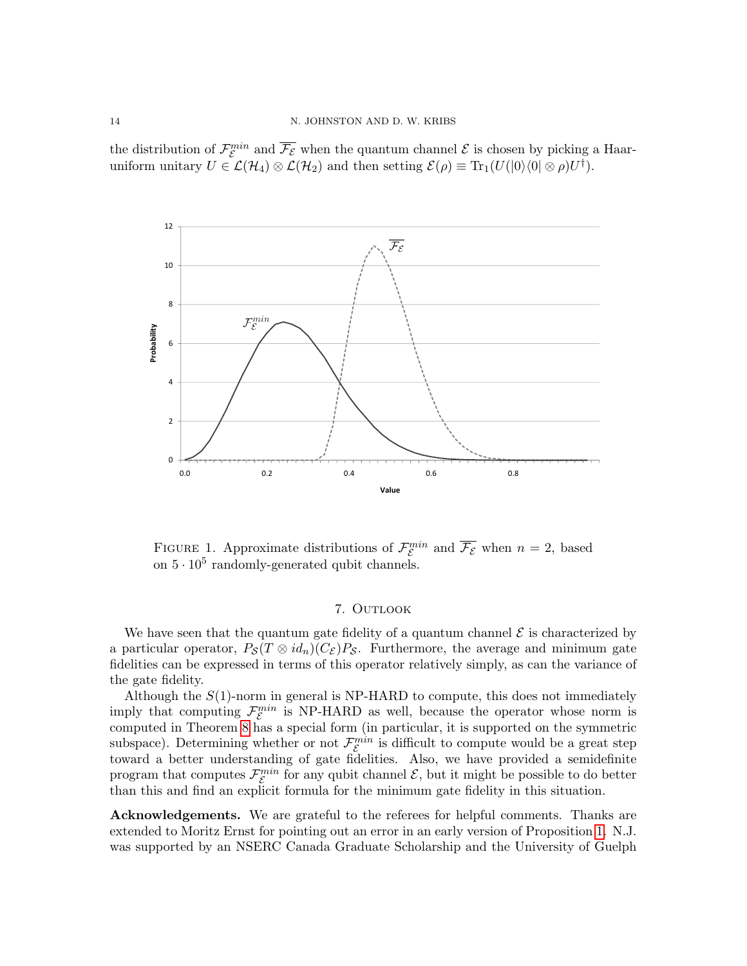the distribution of  $\mathcal{F}_{\mathcal{E}}^{min}$  and  $\overline{\mathcal{F}_{\mathcal{E}}}$  when the quantum channel  $\mathcal{E}$  is chosen by picking a Haaruniform unitary  $U \in \mathcal{L}(\mathcal{H}_4) \otimes \mathcal{L}(\mathcal{H}_2)$  and then setting  $\mathcal{E}(\rho) \equiv \text{Tr}_1(U(|0\rangle\langle0| \otimes \rho)U^{\dagger}).$ 



<span id="page-13-0"></span>FIGURE 1. Approximate distributions of  $\mathcal{F}_{\varepsilon}^{min}$  and  $\overline{\mathcal{F}_{\varepsilon}}$  when  $n=2$ , based on  $5 \cdot 10^5$  randomly-generated qubit channels.

### 7. OUTLOOK

We have seen that the quantum gate fidelity of a quantum channel  $\mathcal E$  is characterized by a particular operator,  $P_{\mathcal{S}}(T \otimes id_n)(C_{\mathcal{E}})P_{\mathcal{S}}$ . Furthermore, the average and minimum gate fidelities can be expressed in terms of this operator relatively simply, as can the variance of the gate fidelity.

Although the  $S(1)$ -norm in general is NP-HARD to compute, this does not immediately imply that computing  $\mathcal{F}_{\mathcal{E}}^{min}$  is NP-HARD as well, because the operator whose norm is computed in Theorem [8](#page-10-1) has a special form (in particular, it is supported on the symmetric subspace). Determining whether or not  $\mathcal{F}_{\mathcal{E}}^{min}$  is difficult to compute would be a great step toward a better understanding of gate fidelities. Also, we have provided a semidefinite program that computes  $\mathcal{F}_{\mathcal{E}}^{min}$  for any qubit channel  $\mathcal{E}$ , but it might be possible to do better than this and find an explicit formula for the minimum gate fidelity in this situation.

Acknowledgements. We are grateful to the referees for helpful comments. Thanks are extended to Moritz Ernst for pointing out an error in an early version of Proposition [1.](#page-3-1) N.J. was supported by an NSERC Canada Graduate Scholarship and the University of Guelph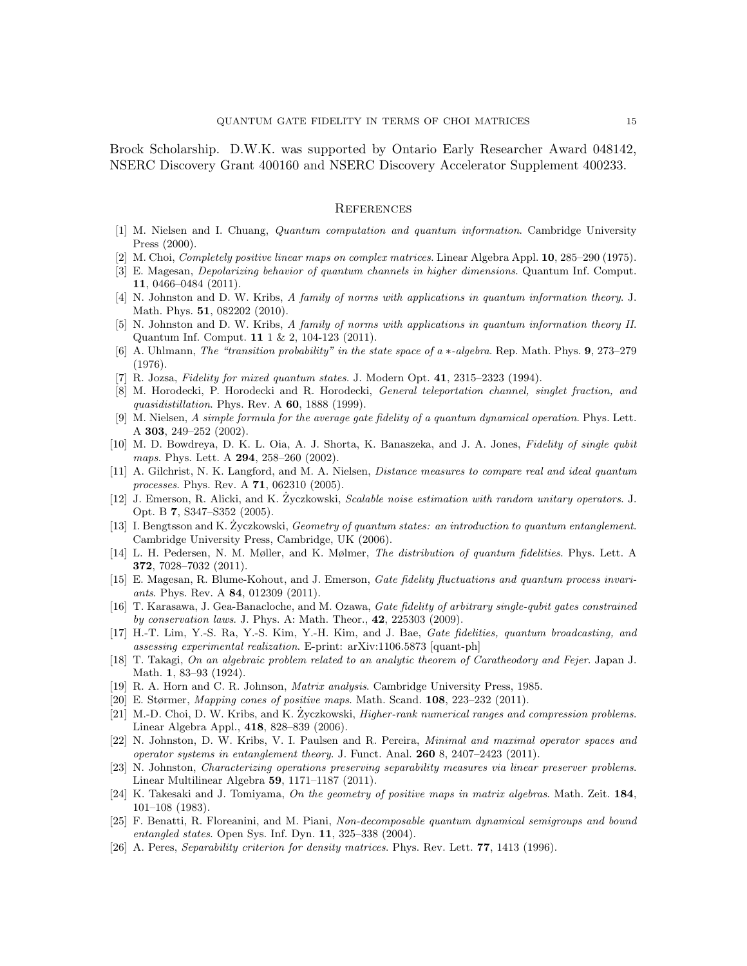Brock Scholarship. D.W.K. was supported by Ontario Early Researcher Award 048142, NSERC Discovery Grant 400160 and NSERC Discovery Accelerator Supplement 400233.

# **REFERENCES**

- <span id="page-14-0"></span>[1] M. Nielsen and I. Chuang, Quantum computation and quantum information. Cambridge University Press (2000).
- <span id="page-14-1"></span>[2] M. Choi, Completely positive linear maps on complex matrices. Linear Algebra Appl. 10, 285–290 (1975).
- <span id="page-14-2"></span>[3] E. Magesan, Depolarizing behavior of quantum channels in higher dimensions. Quantum Inf. Comput. 11, 0466–0484 (2011).
- <span id="page-14-3"></span>[4] N. Johnston and D. W. Kribs, A family of norms with applications in quantum information theory. J. Math. Phys. **51**, 082202 (2010).
- <span id="page-14-4"></span>[5] N. Johnston and D. W. Kribs, A family of norms with applications in quantum information theory II. Quantum Inf. Comput. 11 1 & 2, 104-123 (2011).
- <span id="page-14-5"></span>[6] A. Uhlmann, The "transition probability" in the state space of a ∗-algebra. Rep. Math. Phys. 9, 273–279 (1976).
- <span id="page-14-6"></span>[7] R. Jozsa, Fidelity for mixed quantum states. J. Modern Opt. 41, 2315–2323 (1994).
- <span id="page-14-7"></span>[8] M. Horodecki, P. Horodecki and R. Horodecki, General teleportation channel, singlet fraction, and quasidistillation. Phys. Rev. A  $60$ , 1888 (1999).
- <span id="page-14-8"></span>[9] M. Nielsen, A simple formula for the average gate fidelity of a quantum dynamical operation. Phys. Lett. A 303, 249–252 (2002).
- <span id="page-14-9"></span>[10] M. D. Bowdreya, D. K. L. Oia, A. J. Shorta, K. Banaszeka, and J. A. Jones, Fidelity of single qubit maps. Phys. Lett. A **294**, 258-260 (2002).
- <span id="page-14-10"></span>[11] A. Gilchrist, N. K. Langford, and M. A. Nielsen, *Distance measures to compare real and ideal quantum* processes. Phys. Rev. A 71, 062310 (2005).
- <span id="page-14-11"></span>[12] J. Emerson, R. Alicki, and K. Zyczkowski, Scalable noise estimation with random unitary operators. J. Opt. B 7, S347–S352 (2005).
- <span id="page-14-12"></span>[13] I. Bengtsson and K. Życzkowski, Geometry of quantum states: an introduction to quantum entanglement. Cambridge University Press, Cambridge, UK (2006).
- <span id="page-14-13"></span>[14] L. H. Pedersen, N. M. Møller, and K. Mølmer, The distribution of quantum fidelities. Phys. Lett. A 372, 7028–7032 (2011).
- <span id="page-14-14"></span>[15] E. Magesan, R. Blume-Kohout, and J. Emerson, Gate fidelity fluctuations and quantum process invariants. Phys. Rev. A **84**, 012309 (2011).
- <span id="page-14-15"></span>[16] T. Karasawa, J. Gea-Banacloche, and M. Ozawa, Gate fidelity of arbitrary single-qubit gates constrained by conservation laws. J. Phys. A: Math. Theor., 42, 225303 (2009).
- <span id="page-14-16"></span>[17] H.-T. Lim, Y.-S. Ra, Y.-S. Kim, Y.-H. Kim, and J. Bae, Gate fidelities, quantum broadcasting, and assessing experimental realization. E-print: arXiv:1106.5873 [quant-ph]
- <span id="page-14-17"></span>[18] T. Takagi, On an algebraic problem related to an analytic theorem of Caratheodory and Fejer. Japan J. Math. 1, 83–93 (1924).
- <span id="page-14-18"></span>[19] R. A. Horn and C. R. Johnson, Matrix analysis. Cambridge University Press, 1985.
- <span id="page-14-19"></span>[20] E. Størmer, Mapping cones of positive maps. Math. Scand. 108, 223–232 (2011).
- <span id="page-14-20"></span>[21] M.-D. Choi, D. W. Kribs, and K. Zyczkowski, *Higher-rank numerical ranges and compression problems*. Linear Algebra Appl., 418, 828–839 (2006).
- <span id="page-14-21"></span>[22] N. Johnston, D. W. Kribs, V. I. Paulsen and R. Pereira, Minimal and maximal operator spaces and operator systems in entanglement theory. J. Funct. Anal. 260 8, 2407–2423 (2011).
- <span id="page-14-22"></span>[23] N. Johnston, Characterizing operations preserving separability measures via linear preserver problems. Linear Multilinear Algebra 59, 1171–1187 (2011).
- <span id="page-14-23"></span>[24] K. Takesaki and J. Tomiyama, On the geometry of positive maps in matrix algebras. Math. Zeit. 184, 101–108 (1983).
- <span id="page-14-24"></span>[25] F. Benatti, R. Floreanini, and M. Piani, Non-decomposable quantum dynamical semigroups and bound entangled states. Open Sys. Inf. Dyn. 11, 325–338 (2004).
- <span id="page-14-25"></span>[26] A. Peres, *Separability criterion for density matrices*. Phys. Rev. Lett. **77**, 1413 (1996).